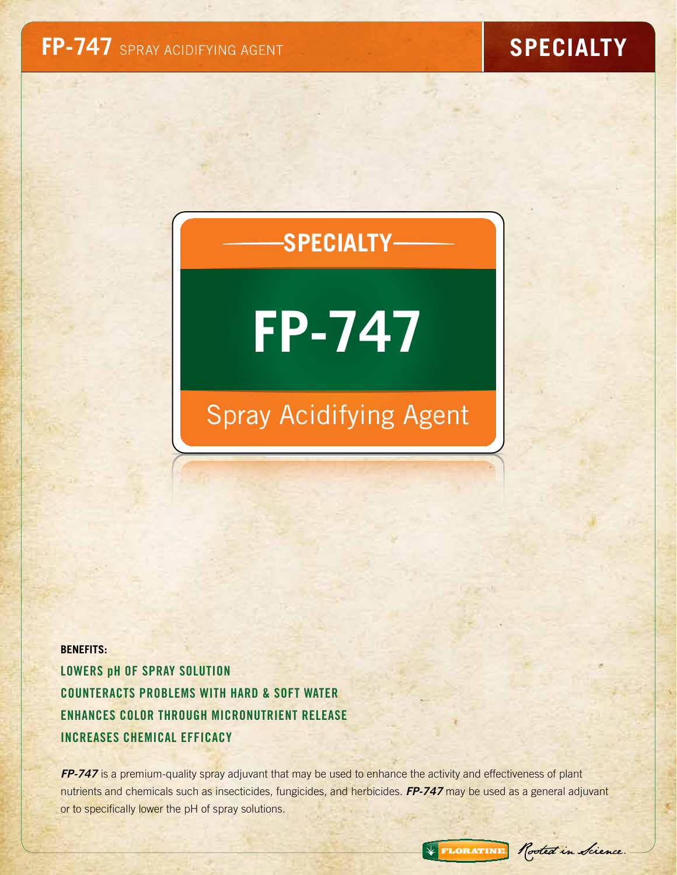# **SPECIALTY**

# **FP-747**

# Spray Acidifying Agent

**BENEFITS:** Lowers pH of Spray Solution Counteracts Problems With Hard & Soft Water Enhances Color Through Micronutrient Release Increases Chemical Efficacy

*FP-747* is a premium-quality spray adjuvant that may be used to enhance the activity and effectiveness of plant nutrients and chemicals such as insecticides, fungicides, and herbicides. *FP-747* may be used as a general adjuvant or to specifically lower the pH of spray solutions.

\* FLORATINE Rooted in Science.